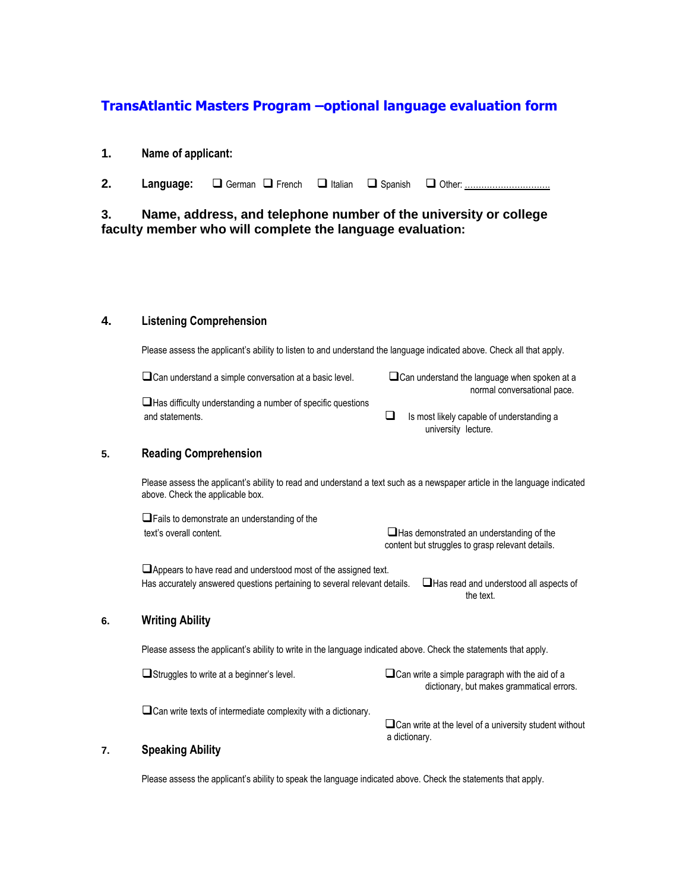# **TransAtlantic Masters Program –optional language evaluation form**

### **1. Name of applicant:**

**2. Language:** □ German □ French □ Italian □ Spanish □ Other: …………………………………………

# **3. Name, address, and telephone number of the university or college faculty member who will complete the language evaluation:**

#### **4. Listening Comprehension**

Please assess the applicant's ability to listen to and understand the language indicated above. Check all that apply.

 $\Box$ Can understand a simple conversation at a basic level.  $\Box$ Can understand the language when spoken at a

normal conversational pace.

Has difficulty understanding a number of specific questions and statements.  $\Box$  Is most likely capable of understanding a

university lecture.

#### **5. Reading Comprehension**

Please assess the applicant's ability to read and understand a text such as a newspaper article in the language indicated above. Check the applicable box.

**OFails to demonstrate an understanding of the** text's overall content. The state of the state of the state of the state of the state of the state of the state of the state of the state of the state of the state of the state of the state of the state of the state of the content but struggles to grasp relevant details.

**Appears to have read and understood most of the assigned text.** Has accurately answered questions pertaining to several relevant details.  $\Box$  Has read and understood all aspects of the text.

#### **6. Writing Ability**

Please assess the applicant's ability to write in the language indicated above. Check the statements that apply.

 $\Box$ Struggles to write at a beginner's level.  $\Box$ Can write a simple paragraph with the aid of a dictionary, but makes grammatical errors.

Can write texts of intermediate complexity with a dictionary.

 $\Box$  Can write at the level of a university student without a dictionary.

## **7. Speaking Ability**

Please assess the applicant's ability to speak the language indicated above. Check the statements that apply.